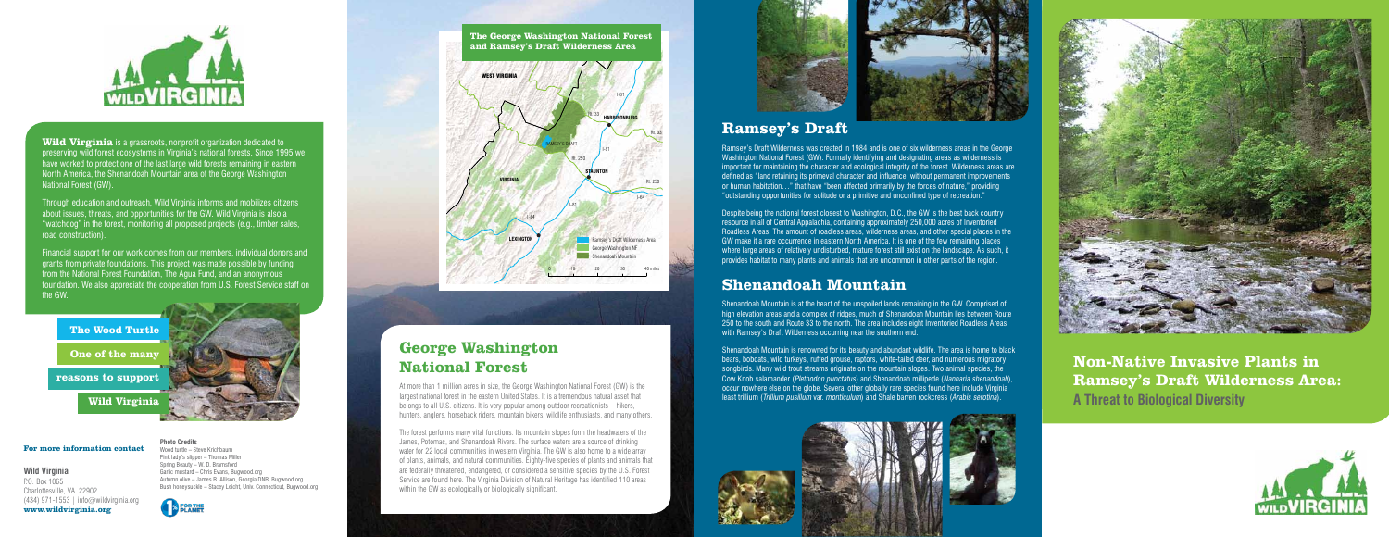# **Ramsey's Draft**

Ramsey's Draft Wilderness was created in 1984 and is one of six wilderness areas in the George Washington National Forest (GW). Formally identifying and designating areas as wilderness is important for maintaining the character and ecological integrity of the forest. Wilderness areas are defined as "land retaining its primeval character and influence, without permanent improvements or human habitation…" that have "been affected primarily by the forces of nature," providing "outstanding opportunities for solitude or a primitive and unconfined type of recreation."

Despite being the national forest closest to Washington, D.C., the GW is the best back country resource in all of Central Appalachia, containing approximately 250,000 acres of Inventoried Roadless Areas. The amount of roadless areas, wilderness areas, and other special places in the GW make it a rare occurrence in eastern North America. It is one of the few remaining places where large areas of relatively undisturbed, mature forest still exist on the landscape. As such, it provides habitat to many plants and animals that are uncommon in other parts of the region.

## **Shenandoah Mountain**

Shenandoah Mountain is at the heart of the unspoiled lands remaining in the GW. Comprised of high elevation areas and a complex of ridges, much of Shenandoah Mountain lies between Route 250 to the south and Route 33 to the north. The area includes eight Inventoried Roadless Areas with Ramsey's Draft Wilderness occurring near the southern end.









**Wild Virginia** is a grassroots, nonprofit organization dedicated to preserving wild forest ecosystems in Virginia's national forests. Since 1995 we have worked to protect one of the last large wild forests remaining in eastern North America, the Shenandoah Mountain area of the George Washington National Forest (GW).

> Shenandoah Mountain is renowned for its beauty and abundant wildlife. The area is home to black bears, bobcats, wild turkeys, ruffed grouse, raptors, white-tailed deer, and numerous migratory songbirds. Many wild trout streams originate on the mountain slopes. Two animal species, the Cow Knob salamander (Plethodon punctatus) and Shenandoah millipede (Nannaria shenandoah), occur nowhere else on the globe. Several other globally rare species found here include Virginia least trillium (Trillium pusillum var. monticulum) and Shale barren rockcress (Arabis serotina).





**Non-Native Invasive Plants in Ramsey's Draft Wilderness Area: A Threat to Biological Diversity**



Through education and outreach, Wild Virginia informs and mobilizes citizens about issues, threats, and opportunities for the GW. Wild Virginia is also a "watchdog" in the forest, monitoring all proposed projects (e.g., timber sales, road construction).

Financial support for our work comes from our members, individual donors and grants from private foundations. This project was made possible by funding from the National Forest Foundation, The Agua Fund, and an anonymous foundation. We also appreciate the cooperation from U.S. Forest Service staff on the GW.

**For more information contact**

**Wild Virginia** P.O. Box 1065 Charlottesville, VA 22902 (434) 971-1553 | info@wildvirginia.org **www.wildvirginia.org**



**The George Washington National Forest and Ramsey's Draft Wilderness Area**



## **George Washington National Forest**

At more than 1 million acres in size, the George Washington National Forest (GW) is the largest national forest in the eastern United States. It is a tremendous natural asset that belongs to all U.S. citizens. It is very popular among outdoor recreationists—hikers, hunters, anglers, horseback riders, mountain bikers, wildlife enthusiasts, and many others.

The forest performs many vital functions. Its mountain slopes form the headwaters of the James, Potomac, and Shenandoah Rivers. The surface waters are a source of drinking water for 22 local communities in western Virginia. The GW is also home to a wide array of plants, animals, and natural communities. Eighty-five species of plants and animals that are federally threatened, endangered, or considered a sensitive species by the U.S. Forest Service are found here. The Virginia Division of Natural Heritage has identified 110 areas within the GW as ecologically or biologically significant.

**Photo Credits**

Wood turtle – Steve Krichbaum Pink lady's slipper – Thomas Miller Spring Beauty – W. D. Bramsford Garlic mustard – Chris Evans, Bugwood.org

Autumn olive – James R. Allison, Georgia DNR, Bugwood.org Bush honeysuckle – Stacey Leicht, Univ. Connecticut, Bugwood.org